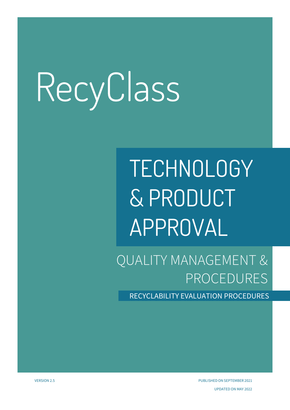## **TECHNOLOGY & PRODUCT APPROVAL**

QUALITY MANAGEMENT & PROCEDURES

RECYCLABILITY EVALUATION PROCEDURES

VERSION 2.5 PUBLISHED ON SEPTEMBER 2021 UPDATED ON MAY 2022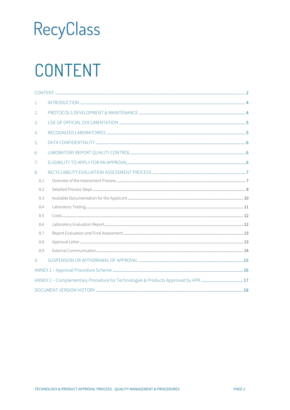### <span id="page-1-0"></span>CONTENT

| $\mathbf{1}$ .                                                                   |  |  |
|----------------------------------------------------------------------------------|--|--|
| 2.                                                                               |  |  |
| 3.                                                                               |  |  |
| 4.                                                                               |  |  |
| 5.                                                                               |  |  |
| 6.                                                                               |  |  |
| 7 <sub>1</sub>                                                                   |  |  |
| 8.                                                                               |  |  |
| 8.1                                                                              |  |  |
| 8.2                                                                              |  |  |
| 8.3                                                                              |  |  |
| 8.4                                                                              |  |  |
| 8.5                                                                              |  |  |
| 8.6                                                                              |  |  |
| 8.7                                                                              |  |  |
| 8.8                                                                              |  |  |
| 8.9                                                                              |  |  |
| 9.                                                                               |  |  |
|                                                                                  |  |  |
| ANNEX 2 - Complementary Procedure for Technologies & Products Approved by APR 17 |  |  |
|                                                                                  |  |  |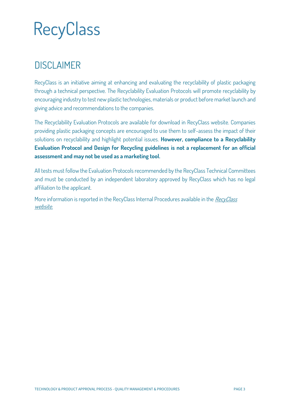### **DISCLAIMER**

**RecyClass is an initiative aiming at enhancing and evaluating the recyclability of plastic packaging through a technical perspective. The Recyclability Evaluation Protocols will promote recyclability by encouraging industry to test new plastic technologies, materials or product before market launch and giving advice and recommendations to the companies.** 

**The Recyclability Evaluation Protocols are available for download in RecyClass website. Companies providing plastic packaging concepts are encouraged to use them to self-assess the impact of their solutions on recyclability and highlight potential issues. However, compliance to a Recyclability Evaluation Protocol and Design for Recycling guidelines is not a replacement for an official assessment and may not be used as a marketing tool.** 

**All tests must follow the Evaluation Protocols recommended by the RecyClass Technical Committees and must be conducted by an independent laboratory approved by RecyClass which has no legal affiliation to the applicant.** 

More information is reported in the [RecyClass](https://recyclass.eu/) Internal Procedures available in the *RecyClass* **[website.](https://recyclass.eu/)**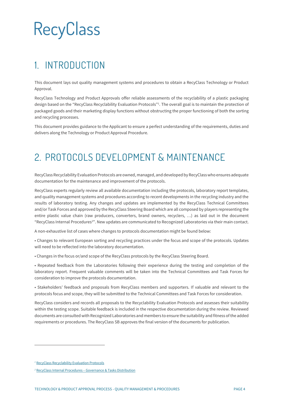### <span id="page-3-0"></span>**1. INTRODUCTION**

This document lays out quality management systems and procedures to obtain a RecyClass Technology or Product Approval.

RecyClass Technology and Product Approvals offer reliable assessments of the recyclability of a plastic packaging design based on the "RecyClass Recyclability Evaluation Protocols" 1 . The overall goal is to maintain the protection of packaged goods and their marketing display functions without obstructing the proper functioning of both the sorting and recycling processes.

This document provides guidance to the Applicant to ensure a perfect understanding of the requirements, duties and delivers along the Technology or Product Approval Procedure.

### <span id="page-3-1"></span>**2. PROTOCOLS DEVELOPMENT & MAINTENANCE**

RecyClass Recyclability Evaluation Protocols are owned, managed, and developed by RecyClass who ensures adequate documentation for the maintenance and improvement of the protocols.

RecyClass experts regularly review all available documentation including the protocols, laboratory report templates, and quality management systems and procedures according to recent developments in the recycling industry and the results of laboratory testing. Any changes and updates are implemented by the RecyClass Technical Committees and/or Task Forces and approved by the RecyClass Steering Board which are all composed by players representing the entire plastic value chain (raw producers, converters, brand owners, recyclers, …) as laid out in the document "RecyClass Internal Procedures<sup>2</sup>". New updates are communicated to Recognized Laboratories via their main contact.

A non-exhaustive list of cases where changes to protocols documentation might be found below:

• Changes to relevant European sorting and recycling practices under the focus and scope of the protocols. Updates will need to be reflected into the laboratory documentation.

• Changes in the focus or/and scope of the RecyClass protocols by the RecyClass Steering Board.

• Repeated feedback from the Laboratories following their experience during the testing and completion of the laboratory report. Frequent valuable comments will be taken into the Technical Committees and Task Forces for consideration to improve the protocols documentation.

• Stakeholders' feedback and proposals from RecyClass members and supporters. If valuable and relevant to the protocols focus and scope, they will be submitted to the Technical Committees and Task Forces for consideration.

RecyClass considers and records all proposals to the Recyclability Evaluation Protocols and assesses their suitability within the testing scope. Suitable feedback is included in the respective documentation during the review. Reviewed documents are consulted with Recognized Laboratories and members to ensure the suitability and fitness of the added requirements or procedures. The RecyClass SB approves the final version of the documents for publication.

*<sup>1</sup>* [RecyClass Recyclability Evaluation Protocols](https://recyclass.eu/recyclability/test-methods/)

*<sup>2</sup>* RecyClass Internal Procedures – [Governance & Tasks Distribution](https://recyclass.eu/library-of-documents/)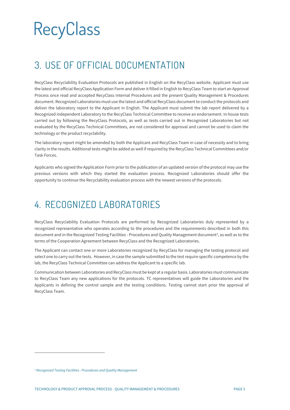### <span id="page-4-0"></span>**3. USE OF OFFICIAL DOCUMENTATION**

RecyClass Recyclability Evaluation Protocols are published in English on the RecyClass website. Applicant must use the latest and official RecyClass Application Form and deliver it filled in English to RecyClass Team to start an Approval Process once read and accepted RecyClass Internal Procedures and the present Quality Management & Procedures document. Recognized Laboratories must use the latest and official RecyClass document to conduct the protocols and deliver the laboratory report to the Applicant in English. The Applicant must submit the lab report delivered by a Recognized independent Laboratory to the RecyClass Technical Committee to receive an endorsement. In house tests carried out by following the RecyClass Protocols, as well as tests carried out in Recognized Laboratories but not evaluated by the RecyClass Technical Committees, are not considered for approval and cannot be used to claim the technology or the product recyclability.

The laboratory report might be amended by both the Applicant and RecyClass Team in case of necessity and to bring clarity in the results. Additional tests might be added as well if required by the RecyClass Technical Committees and/or Task Forces.

Applicants who signed the Application Form prior to the publication of an updated version of the protocol may use the previous versions with which they started the evaluation process. Recognized Laboratories should offer the opportunity to continue the Recyclability evaluation process with the newest versions of the protocols.

### <span id="page-4-1"></span>**4. RECOGNIZED LABORATORIES**

RecyClass Recyclability Evaluation Protocols are performed by Recognized Laboratories duly represented by a recognized representative who operates according to the procedures and the requirements described in both this document and in the Recognized Testing Facilities - Procedures and Quality Management document<sup>3</sup>, as well as to the terms of the Cooperation Agreement between RecyClass and the Recognized Laboratories.

The Applicant can contact one or more Laboratories recognized by RecyClass for managing the testing protocol and select one to carry out the tests. However, in case the sample submitted to the test require specific competence by the lab, the RecyClass Technical Committee can address the Applicant to a specific lab.

Communication between Laboratories and RecyClass must be kept at a regular basis. Laboratories must communicate to RecyClass Team any new applications for the protocols. TC representatives will guide the Laboratories and the Applicants in defining the control sample and the testing conditions. Testing cannot start prior the approval of RecyClass Team.

*<sup>3</sup> Recognized Testing Facilities - Procedures and Quality Management*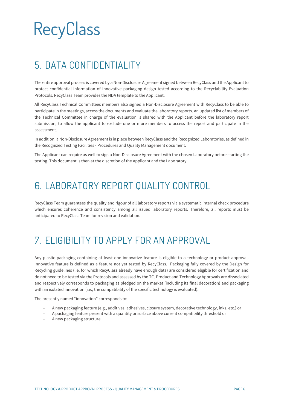### <span id="page-5-0"></span>**5. DATA CONFIDENTIALITY**

The entire approval process is covered by a Non-Disclosure Agreement signed between RecyClass and the Applicant to protect confidential information of innovative packaging design tested according to the Recyclability Evaluation Protocols. RecyClass Team provides the NDA template to the Applicant.

All RecyClass Technical Committees members also signed a Non-Disclosure Agreement with RecyClass to be able to participate in the meetings, access the documents and evaluate the laboratory reports. An updated list of members of the Technical Committee in charge of the evaluation is shared with the Applicant before the laboratory report submission, to allow the applicant to exclude one or more members to access the report and participate in the assessment.

In addition, a Non-Disclosure Agreement is in place between RecyClass and the Recognized Laboratories, as defined in the Recognized Testing Facilities - Procedures and Quality Management document.

The Applicant can require as well to sign a Non-Disclosure Agreement with the chosen Laboratory before starting the testing. This document is then at the discretion of the Applicant and the Laboratory.

### <span id="page-5-1"></span>**6. LABORATORY REPORT QUALITY CONTROL**

RecyClass Team guarantees the quality and rigour of all laboratory reports via a systematic internal check procedure which ensures coherence and consistency among all issued laboratory reports. Therefore, all reports must be anticipated to RecyClass Team for revision and validation.

### <span id="page-5-2"></span>**7. ELIGIBILITY TO APPLY FOR AN APPROVAL**

Any plastic packaging containing at least one innovative feature is eligible to a technology or product approval. Innovative feature is defined as a feature not yet tested by RecyClass. Packaging fully covered by the Design for Recycling guidelines (i.e. for which RecyClass already have enough data) are considered eligible for certification and do not need to be tested via the Protocols and assessed by the TC. Product and Technology Approvals are dissociated and respectively corresponds to packaging as pledged on the market (including its final decoration) and packaging with an isolated innovation (i.e., the compatibility of the specific technology is evaluated).

The presently named "innovation" corresponds to:

- A new packaging feature (e.g., additives, adhesives, closure system, decorative technology, inks, etc.) or
- A packaging feature present with a quantity or surface above current compatibility threshold or
- A new packaging structure.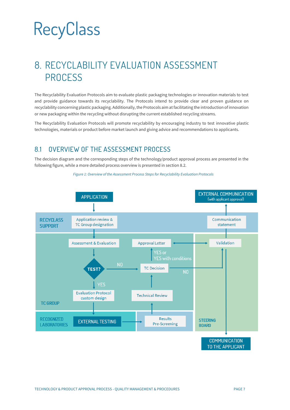### <span id="page-6-0"></span>**8. RECYCLABILITY EVALUATION ASSESSMENT PROCESS**

The Recyclability Evaluation Protocols aim to evaluate plastic packaging technologies or innovation materials to test and provide guidance towards its recyclability. The Protocols intend to provide clear and proven guidance on recyclability concerning plastic packaging. Additionally, the Protocols aim at facilitating the introduction of innovation or new packaging within the recycling without disrupting the current established recycling streams.

The Recyclability Evaluation Protocols will promote recyclability by encouraging industry to test innovative plastic technologies, materials or product before market launch and giving advice and recommendations to applicants.

#### <span id="page-6-1"></span>8.1 OVERVIEW OF THE ASSESSMENT PROCESS

The decision diagram and the corresponding steps of the technology/product approval process are presented in the following figure, while a more detailed process overview is presented in section 8.2.



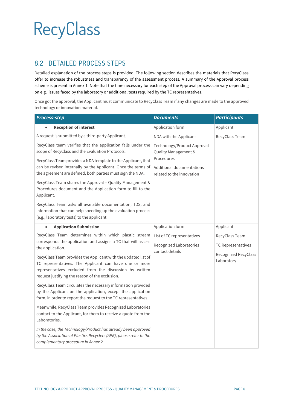#### <span id="page-7-0"></span>8.2 DETAILED PROCESS STEPS

Detailed explanation of the process steps is provided. The following section describes the materials that RecyClass offer to increase the robustness and transparency of the assessment process. A summary of the Approval process scheme is present in Annex 1. Note that the time necessary for each step of the Approval process can vary depending on e.g. issues faced by the laboratory or additional tests required by the TC representatives.

Once got the approval, the Applicant must communicate to RecyClass Team if any changes are made to the approved technology or innovation material.

| <b>Process-step</b>                                                                                                                                                                                                                                                                                                                                                                  | <b>Documents</b>                                                         | <b>Participants</b>                                                        |
|--------------------------------------------------------------------------------------------------------------------------------------------------------------------------------------------------------------------------------------------------------------------------------------------------------------------------------------------------------------------------------------|--------------------------------------------------------------------------|----------------------------------------------------------------------------|
| <b>Reception of interest</b>                                                                                                                                                                                                                                                                                                                                                         | Application form                                                         | Applicant                                                                  |
| A request is submitted by a third-party Applicant.                                                                                                                                                                                                                                                                                                                                   | NDA with the Applicant                                                   | RecyClass Team                                                             |
| RecyClass team verifies that the application falls under the<br>scope of RecyClass and the Evaluation Protocols.                                                                                                                                                                                                                                                                     | Technology/Product Approval -<br>Quality Management &                    |                                                                            |
| RecyClass Team provides a NDA template to the Applicant, that<br>can be revised internally by the Applicant. Once the terms of<br>the agreement are defined, both parties must sign the NDA.                                                                                                                                                                                         | Procedures<br>Additional documentations<br>related to the innovation     |                                                                            |
| RecyClass Team shares the Approval - Quality Management &<br>Procedures document and the Application form to fill to the<br>Applicant.                                                                                                                                                                                                                                               |                                                                          |                                                                            |
| RecyClass Team asks all available documentation, TDS, and<br>information that can help speeding up the evaluation process<br>(e.g., laboratory tests) to the applicant.                                                                                                                                                                                                              |                                                                          |                                                                            |
| <b>Application Submission</b><br>$\bullet$                                                                                                                                                                                                                                                                                                                                           | Application form                                                         | Applicant                                                                  |
| RecyClass Team determines within which plastic stream<br>corresponds the application and assigns a TC that will assess<br>the application.<br>RecyClass Team provides the Applicant with the updated list of<br>TC representatives. The Applicant can have one or more<br>representatives excluded from the discussion by written<br>request justifying the reason of the exclusion. | List of TC representatives<br>Recognized Laboratories<br>contact details | RecyClass Team<br>TC Representatives<br>Recognized RecyClass<br>Laboratory |
| RecyClass Team circulates the necessary information provided<br>by the Applicant on the application, except the application<br>form, in order to report the request to the TC representatives.                                                                                                                                                                                       |                                                                          |                                                                            |
| Meanwhile, RecyClass Team provides Recognized Laboratories<br>contact to the Applicant, for them to receive a quote from the<br>Laboratories.                                                                                                                                                                                                                                        |                                                                          |                                                                            |
| In the case, the Technology/Product has already been approved<br>by the Association of Plastics Recyclers (APR), please refer to the<br>complementary procedure in Annex 2.                                                                                                                                                                                                          |                                                                          |                                                                            |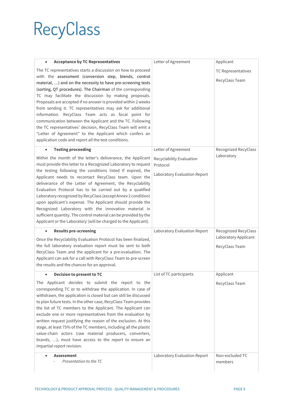| <b>Acceptance by TC Representatives</b>                                                                                                                                                                                                                                                                                                                                                                                                                                                                                                                                                                                                                                                                                                              | Letter of Agreement                                                  | Applicant                              |
|------------------------------------------------------------------------------------------------------------------------------------------------------------------------------------------------------------------------------------------------------------------------------------------------------------------------------------------------------------------------------------------------------------------------------------------------------------------------------------------------------------------------------------------------------------------------------------------------------------------------------------------------------------------------------------------------------------------------------------------------------|----------------------------------------------------------------------|----------------------------------------|
| The TC representatives starts a discussion on how to proceed<br>with the assessment (conversion step, blends, control<br>material, ) and on the necessity to have pre-screening tests<br>(sorting, QT procedures). The Chairman of the corresponding<br>TC may facilitate the discussion by making proposals.<br>Proposals are accepted if no answer is provided within 2 weeks<br>from sending it. TC representatives may ask for additional<br>information. RecyClass Team acts as focal point for<br>communication between the Applicant and the TC. Following<br>the TC representatives' decision, RecyClass Team will emit a<br>"Letter of Agreement" to the Applicant which confers an<br>application code and report all the test conditions. |                                                                      | TC Representatives<br>RecyClass Team   |
| <b>Testing proceeding</b>                                                                                                                                                                                                                                                                                                                                                                                                                                                                                                                                                                                                                                                                                                                            | Letter of Agreement                                                  | <b>Recognized RecyClass</b>            |
| Within the month of the letter's deliverance, the Applicant<br>must provide this letter to a Recognized Laboratory to request<br>the testing following the conditions listed If expired, the<br>Applicant needs to recontact RecyClass team. Upon the<br>deliverance of the Letter of Agreement, the Recyclability<br>Evaluation Protocol has to be carried out by a qualified<br>Laboratory recognized by RecyClass (except Annex 2 condition)<br>upon applicant's expense. The Applicant should provide the<br>Recognized Laboratory with the innovative material in<br>sufficient quantity. The control material can be provided by the<br>Applicant or the Laboratory (will be charged to the Applicant).                                        | Recyclability Evaluation<br>Protocol<br>Laboratory Evaluation Report | Laboratory                             |
| <b>Results pre-screening</b><br>$\bullet$                                                                                                                                                                                                                                                                                                                                                                                                                                                                                                                                                                                                                                                                                                            | Laboratory Evaluation Report                                         | Recognized RecyClass                   |
| Once the Recyclability Evaluation Protocol has been finalized,<br>the full laboratory evaluation report must be sent to both<br>RecyClass Team and the applicant for a pre-evaluation. The<br>Applicant can ask for a call with RecyClass Team to pre-screen<br>the results and the chances for an approval.                                                                                                                                                                                                                                                                                                                                                                                                                                         |                                                                      | Laboratory Applicant<br>RecyClass Team |
| Decision to present to TC<br>$\bullet$ .                                                                                                                                                                                                                                                                                                                                                                                                                                                                                                                                                                                                                                                                                                             | List of TC participants                                              | Applicant                              |
| The Applicant decides to submit the report to the<br>corresponding TC or to withdraw the application. In case of<br>withdrawn, the application is closed but can still be discussed<br>to plan future tests. In the other case, RecyClass Team provides<br>the list of TC members to the Applicant. The Applicant can<br>exclude one or more representatives from the evaluation by<br>written request justifying the reason of the exclusion. At this<br>stage, at least 75% of the TC members, including all the plastic<br>value-chain actors (raw material producers, converters,<br>brands, ), must have access to the report to ensure an<br>impartial report revision.                                                                        |                                                                      | RecyClass Team                         |
| <b>Assessment</b><br>Presentation to the TC                                                                                                                                                                                                                                                                                                                                                                                                                                                                                                                                                                                                                                                                                                          | Laboratory Evaluation Report                                         | Non-excluded TC<br>members             |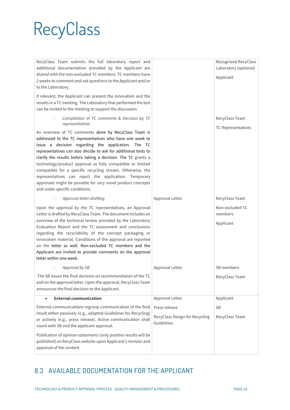RecyClass Team submits the full laboratory report and additional documentation provided by the Applicant are shared with the non-excluded TC members. TC members have 2 weeks to comment and ask questions to the Applicant and/or to the Laboratory.

If relevant, the Applicant can present the innovation and the results in a TC meeting. The Laboratory that performed the test can be invited to the meeting to support the discussion.

> - *Compilation of TC comments & Decision by TC representatives*

An overview of TC comments done by RecyClass Team is addressed to the TC representatives who have one week to issue a decision regarding the application. The TC representatives can also decide to ask for additional tests to clarify the results before taking a decision. The TC grants a technology/product approval as fully compatible or limited compatible for a specific recycling stream. Otherwise, the representatives can reject the application. Temporary approvals might be possible for very novel product concepts and under specific conditions.

Upon the approval by the TC representatives, an Approval Letter is drafted by RecyClass Team. The document includes an overview of the technical review provided by the Laboratory Evaluation Report and the TC assessment and conclusions regarding the recyclability of the concept packaging or innovation material. Conditions of the approval are reported on the letter as well. Non-excluded TC members and the Applicant are invited to provide comments on the approval letter within one week.

- *Approval letter drafting*

| Approval by SB<br>The SB issues the final decision on recommendation of the TC<br>and on the approval letter. Upon the approval, RecyClass Team<br>announces the final decision to the Applicant.                                                                                                                                                                                                                                                           | Approval Letter                                                                  | SB members<br>RecyClass Team             |
|-------------------------------------------------------------------------------------------------------------------------------------------------------------------------------------------------------------------------------------------------------------------------------------------------------------------------------------------------------------------------------------------------------------------------------------------------------------|----------------------------------------------------------------------------------|------------------------------------------|
| <b>External communication</b><br>$\bullet$<br>External communications regroup communication of the final<br>result either passively (e.g., adapted Guidelines for Recycling)<br>or actively (e.g., press release). Active communication shall<br>count with SB and the applicant approval.<br>Publication of opinion statements (only positive results will be<br>published) on RecyClass website upon Applicant's revision and<br>approval of the content. | Approval Letter<br>Press release<br>RecyClass Design for Recycling<br>Guidelines | Applicant<br><b>SB</b><br>RecyClass Team |

#### <span id="page-9-0"></span>8.3 AVAILABLE DOCUMENTATION FOR THE APPLICANT

|                                              | RecyClass Team             |
|----------------------------------------------|----------------------------|
|                                              | TC Representatives         |
|                                              |                            |
| Approval Letter                              | RecyClass Team             |
|                                              | Non-excluded TC<br>members |
|                                              | Applicant                  |
|                                              |                            |
| Approval Letter                              | SB members                 |
|                                              | RecyClass Team             |
| Approval Letter                              | Applicant                  |
| Press release                                | <b>SB</b>                  |
| RecyClass Design for Recycling<br>Guidelines | RecyClass Team             |
|                                              |                            |

Recognized RecyClass Laboratory (optional)

Applicant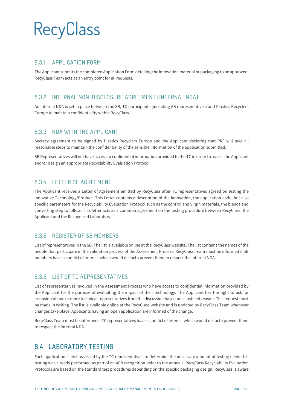#### 8.3.1 APPLICATION FORM

The Applicant submits the completed Application Form detailing the innovation material or packaging to be approved. RecyClass Team acts as an entry point for all requests.

#### 8.3.2 INTERNAL NON-DISCLOSURE AGREEMENT (INTERNAL NDA)

An Internal NDA is set in place between the SB, TC participants (including AB representatives) and Plastics Recyclers Europe to maintain confidentiality within RecyClass.

#### 8.3.3 NDA WITH THE APPLICANT

Secrecy agreement to be signed by Plastics Recyclers Europe and the Applicant declaring that PRE will take all reasonable steps to maintain the confidentiality of the sensible information of the application submitted.

SB Representatives will not have access to confidential information provided to the TC in order to assess the Applicant and/or design an appropriate Recyclability Evaluation Protocol.

#### 8.3.4 LETTER OF AGREEMENT

The Applicant receives a Letter of Agreement emitted by RecyClass after TC representatives agreed on testing the innovative Technology/Product. This Letter contains a description of the innovation, the application code, but also specific parameters for the Recyclability Evaluation Protocol such as the control and virgin materials, the blends and converting step to follow. This letter acts as a common agreement on the testing procedure between RecyClass, the Applicant and the Recognized Laboratory.

#### 8.3.5 REGISTER OF SB MEMBERS

List of representatives in the SB. The list is available online at the RecyClass website. The list contains the names of the people that participate in the validation process of the Assessment Process. RecyClass Team must be informed if SB members have a conflict of interest which would de facto prevent them to respect the internal NDA.

#### 8.3.6 LIST OF TC REPRESENTATIVES

List of representatives involved in the Assessment Process who have access to confidential information provided by the Applicant for the purpose of evaluating the impact of their technology. The Applicant has the right to ask for exclusion of one or more technical representatives from the discussion based on a justified reason. This request must be made in writing. The list is available online at the RecyClass website and is updated by RecyClass Team whenever changes take place. Applicants having an open application are informed of the change.

RecyClass Team must be informed if TC representatives have a conflict of interest which would de facto prevent them to respect the internal NDA.

#### <span id="page-10-0"></span>8.4 LABORATORY TESTING

Each application is first assessed by the TC representatives to determine the necessary amount of testing needed. If testing was already performed as part of an APR recognition, refer to the Annex 2. RecyClass Recyclability Evaluation Protocols are based on the standard test procedures depending on the specific packaging design. RecyClass is aware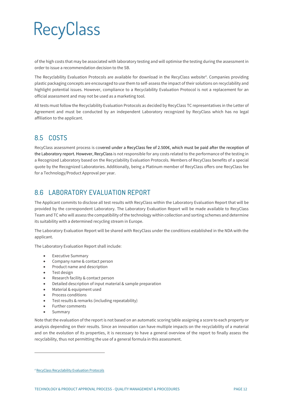of the high costs that may be associated with laboratory testing and will optimise the testing during the assessment in order to issue a recommendation decision to the SB.

The Recyclability Evaluation Protocols are available for download in the RecyClass website<sup>4</sup>. Companies providing plastic packaging concepts are encouraged to use them to self-assess the impact of their solutions on recyclability and highlight potential issues. However, compliance to a Recyclability Evaluation Protocol is not a replacement for an official assessment and may not be used as a marketing tool.

All tests must follow the Recyclability Evaluation Protocols as decided by RecyClass TC representatives in the Letter of Agreement and must be conducted by an independent Laboratory recognized by RecyClass which has no legal affiliation to the applicant.

#### <span id="page-11-0"></span>8.5 COSTS

RecyClass assessment process is covered under a RecyClass fee of 2.500€, which must be paid after the reception of the Laboratory report. However, RecyClass is not responsible for any costs related to the performance of the testing in a Recognized Laboratory based on the Recyclability Evaluation Protocols. Members of RecyClass benefits of a special quote by the Recognized Laboratories. Additionally, being a Platinum member of RecyClass offers one RecyClass fee for a Technology/Product Approval per year.

#### <span id="page-11-1"></span>8.6 LABORATORY FVALUATION REPORT

The Applicant commits to disclose all test results with RecyClass within the Laboratory Evaluation Report that will be provided by the correspondent Laboratory. The Laboratory Evaluation Report will be made available to RecyClass Team and TC who will assess the compatibility of the technology within collection and sorting schemes and determine its suitability with a determined recycling stream in Europe.

The Laboratory Evaluation Report will be shared with RecyClass under the conditions established in the NDA with the applicant.

The Laboratory Evaluation Report shall include:

- Executive Summary
- Company name & contact person
- Product name and description
- Test design
- Research facility & contact person
- Detailed description of input material & sample preparation
- Material & equipment used
- Process conditions
- Test results & remarks (including repeatability)
- Further comments
- **Summary**

Note that the evaluation of the report is not based on an automatic scoring table assigning a score to each property or analysis depending on their results. Since an innovation can have multiple impacts on the recyclability of a material and on the evolution of its properties, it is necessary to have a general overview of the report to finally assess the recyclability, thus not permitting the use of a general formula in this assessment.

*<sup>4</sup>* [RecyClass Recyclability Evaluation Protocols](https://recyclass.eu/recyclability/test-methods/)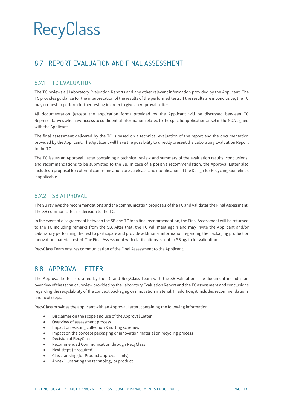#### <span id="page-12-0"></span>8.7 REPORT EVALUATION AND FINAL ASSESSMENT

#### 8.7.1 TC EVALUATION

The TC reviews all Laboratory Evaluation Reports and any other relevant information provided by the Applicant. The TC provides guidance for the interpretation of the results of the performed tests. If the results are inconclusive, the TC may request to perform further testing in order to give an Approval Letter.

All documentation (except the application form) provided by the Applicant will be discussed between TC Representatives who have access to confidential information related to the specific application as set in the NDA signed with the Applicant.

The final assessment delivered by the TC is based on a technical evaluation of the report and the documentation provided by the Applicant. The Applicant will have the possibility to directly present the Laboratory Evaluation Report to the TC.

The TC issues an Approval Letter containing a technical review and summary of the evaluation results, conclusions, and recommendations to be submitted to the SB. In case of a positive recommendation, the Approval Letter also includes a proposal for external communication: press release and modification of the Design for Recycling Guidelines if applicable.

#### 8.7.2 SB APPROVAL

The SB reviews the recommendations and the communication proposals of the TC and validates the Final Assessment. The SB communicates its decision to the TC.

In the event of disagreement between the SB and TC for a final recommendation, the Final Assessment will be returned to the TC including remarks from the SB. After that, the TC will meet again and may invite the Applicant and/or Laboratory performing the test to participate and provide additional information regarding the packaging product or innovation material tested. The Final Assessment with clarifications is sent to SB again for validation.

<span id="page-12-1"></span>RecyClass Team ensures communication of the Final Assessment to the Applicant.

#### 8.8 APPROVAL LETTER

The Approval Letter is drafted by the TC and RecyClass Team with the SB validation. The document includes an overview of the technical review provided by the Laboratory Evaluation Report and the TC assessment and conclusions regarding the recyclability of the concept packaging or innovation material. In addition, it includes recommendations and next steps.

RecyClass provides the applicant with an Approval Letter, containing the following information:

- Disclaimer on the scope and use of the Approval Letter
- Overview of assessment process
- Impact on existing collection & sorting schemes
- Impact on the concept packaging or innovation material on recycling process
- Decision of RecyClass
- Recommended Communication through RecyClass
- Next steps (if required)
- Class ranking (for Product approvals only)
- Annex illustrating the technology or product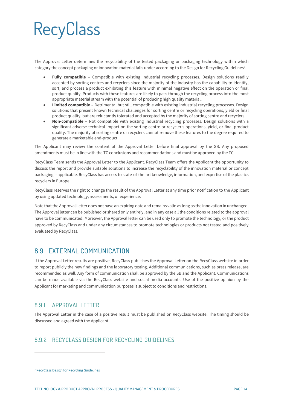The Approval Letter determines the recyclability of the tested packaging or packaging technology within which category the concept packaging or innovation material falls under according to the Design for Recycling Guidelines<sup>5</sup>.

- **Fully compatible** Compatible with existing industrial recycling processes. Design solutions readily accepted by sorting centres and recyclers since the majority of the industry has the capability to identify, sort, and process a product exhibiting this feature with minimal negative effect on the operation or final product quality. Products with these features are likely to pass through the recycling process into the most appropriate material stream with the potential of producing high quality material.
- **Limited compatible** Detrimental but still compatible with existing industrial recycling processes. Design solutions that present known technical challenges for sorting centre or recycling operations, yield or final product quality, but are reluctantly tolerated and accepted by the majority of sorting centre and recyclers.
- **Non-compatible** Not compatible with existing industrial recycling processes. Design solutions with a significant adverse technical impact on the sorting centre or recycler's operations, yield, or final product quality. The majority of sorting centre or recyclers cannot remove these features to the degree required to generate a marketable end-product.

The Applicant may review the content of the Approval Letter before final approval by the SB. Any proposed amendments must be in line with the TC conclusions and recommendations and must be approved by the TC.

RecyClass Team sends the Approval Letter to the Applicant. RecyClass Team offers the Applicant the opportunity to discuss the report and provide suitable solutions to increase the recyclability of the innovation material or concept packaging if applicable. RecyClass has access to state-of-the-art knowledge, information, and expertise of the plastics recyclers in Europe.

RecyClass reserves the right to change the result of the Approval Letter at any time prior notification to the Applicant by using updated technology, assessments, or experience.

Note that the Approval Letter does not have an expiring date and remains valid as long as the innovation in unchanged. The Approval letter can be published or shared only entirely, and in any case all the conditions related to the approval have to be communicated. Moreover, the Approval letter can be used only to promote the technology, or the product approved by RecyClass and under any circumstances to promote technologies or products not tested and positively evaluated by RecyClass.

#### <span id="page-13-0"></span>8.9 EXTERNAL COMMUNICATION

If the Approval Letter results are positive, RecyClass publishes the Approval Letter on the RecyClass website in order to report publicly the new findings and the laboratory testing. Additional communications, such as press release, are recommended as well. Any form of communication shall be approved by the SB and the Applicant. Communications can be made available via the RecyClass website and social media accounts. Use of the positive opinion by the Applicant for marketing and communication purposes is subject to conditions and restrictions.

#### 8.9.1 APPROVAL LETTER

The Approval Letter in the case of a positive result must be published on RecyClass website. The timing should be discussed and agreed with the Applicant.

#### 8.9.2 RECYCLASS DESIGN FOR RECYCLING GUIDELINES

*<sup>5</sup>* [RecyClass Design for Recycling Guidelines](https://recyclass.eu/recyclability/design-for-recycling-guidelines/)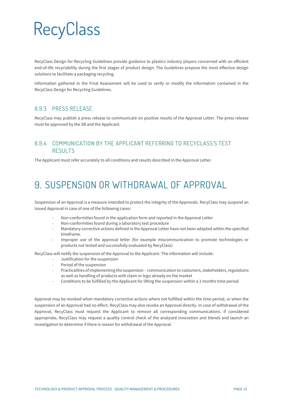RecyClass Design for Recycling Guidelines provide guidance to plastics industry players concerned with an efficient end-of-life recyclability during the first stages of product design. The Guidelines propose the most effective design solutions to facilitate a packaging recycling.

Information gathered in the Final Assessment will be used to verify or modify the information contained in the RecyClass Design for Recycling Guidelines.

#### 8.9.3 PRESS RELEASE

RecyClass may publish a press release to communicate on positive results of the Approval Letter. The press release must be approved by the SB and the Applicant.

#### 8.9.4 COMMUNICATION BY THE APPLICANT REFERRING TO RECYCLASS'S TEST RESULTS

<span id="page-14-0"></span>The Applicant must refer accurately to all conditions and results described in the Approval Letter.

### **9. SUSPENSION OR WITHDRAWAL OF APPROVAL**

Suspension of an Approval is a measure intended to protect the integrity of the Approvals. RecyClass may suspend an issued Approval in case of one of the following cases:

- Non-conformities found in the application form and reported in the Approval Letter
- Non-conformities found during a laboratory test procedure
- Mandatory corrective actions defined in the Approval Letter have not been adapted within the specified timeframe.
- Improper use of the approval letter (for example miscommunication to promote technologies or products not tested and successfully evaluated by RecyClass)

RecyClass will notify the suspension of the Approval to the Applicant. The information will include:

- Justification for the suspension
- Period of the suspension
- Practicalities of implementing the suspension communication to costumers, stakeholders, regulations as well as handling of products with claim or logo already on the market
- Conditions to be fulfilled by the Applicant for lifting the suspension within a 3 months time period.

Approval may be revoked when mandatory corrective actions where not fulfilled within the time period, or when the suspension of an Approval had no effect. RecyClass may also revoke an Approval directly. In case of withdrawal of the Approval, RecyClass must request the Applicant to remove all corresponding communications. If considered appropriate, RecyClass may request a quality control check of the analysed innovation and blends and launch an investigation to determine if there is reason for withdrawal of the Approval.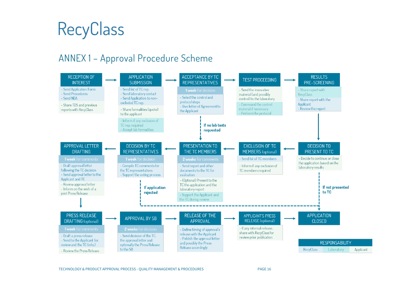

### **ANNEX 1 – Approval Procedure Scheme**

<span id="page-15-0"></span>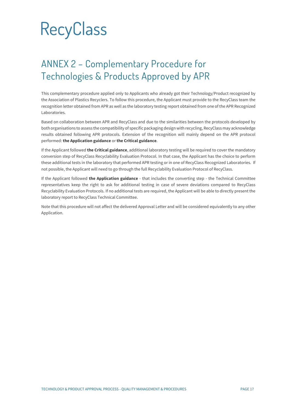### <span id="page-16-0"></span>**ANNEX 2 – Complementary Procedure for Technologies & Products Approved by APR**

This complementary procedure applied only to Applicants who already got their Technology/Product recognized by the Association of Plastics Recyclers. To follow this procedure, the Applicant must provide to the RecyClass team the recognition letter obtained from APR as well as the laboratory testing report obtained from one of the APR Recognized Laboratories.

Based on collaboration between APR and RecyClass and due to the similarities between the protocols developed by both organisations to assess the compatibility of specific packaging design with recycling, RecyClass may acknowledge results obtained following APR protocols. Extension of the recognition will mainly depend on the APR protocol performed: **the Application guidance** or **the Critical guidance**.

If the Applicant followed **the Critical guidance**, additional laboratory testing will be required to cover the mandatory conversion step of RecyClass Recyclability Evaluation Protocol. In that case, the Applicant has the choice to perform these additional tests in the laboratory that performed APR testing or in one of RecyClass Recognized Laboratories. If not possible, the Applicant will need to go through the full Recyclability Evaluation Protocol of RecyClass.

If the Applicant followed **the Application guidance** - that includes the converting step - the Technical Committee representatives keep the right to ask for additional testing in case of severe deviations compared to RecyClass Recyclability Evaluation Protocols. If no additional tests are required, the Applicant will be able to directly present the laboratory report to RecyClass Technical Committee.

Note that this procedure will not affect the delivered Approval Letter and will be considered equivalently to any other Application.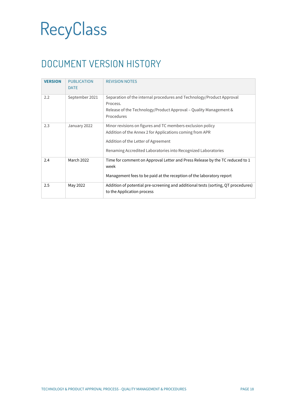### <span id="page-17-0"></span>**DOCUMENT VERSION HISTORY**

| <b>VERSION</b> | <b>PUBLICATION</b><br><b>DATE</b> | <b>REVISION NOTES</b>                                                                                                                                                                                                          |
|----------------|-----------------------------------|--------------------------------------------------------------------------------------------------------------------------------------------------------------------------------------------------------------------------------|
| 2.2            | September 2021                    | Separation of the internal procedures and Technology/Product Approval<br>Process.<br>Release of the Technology/Product Approval – Quality Management &<br>Procedures                                                           |
| 2.3            | January 2022                      | Minor revisions on figures and TC members exclusion policy<br>Addition of the Annex 2 for Applications coming from APR<br>Addition of the Letter of Agreement<br>Renaming Accredited Laboratories into Recognized Laboratories |
| 2.4            | <b>March 2022</b>                 | Time for comment on Approval Letter and Press Release by the TC reduced to 1<br>week<br>Management fees to be paid at the reception of the laboratory report                                                                   |
| 2.5            | May 2022                          | Addition of potential pre-screening and additional tests (sorting, QT procedures)<br>to the Application process                                                                                                                |